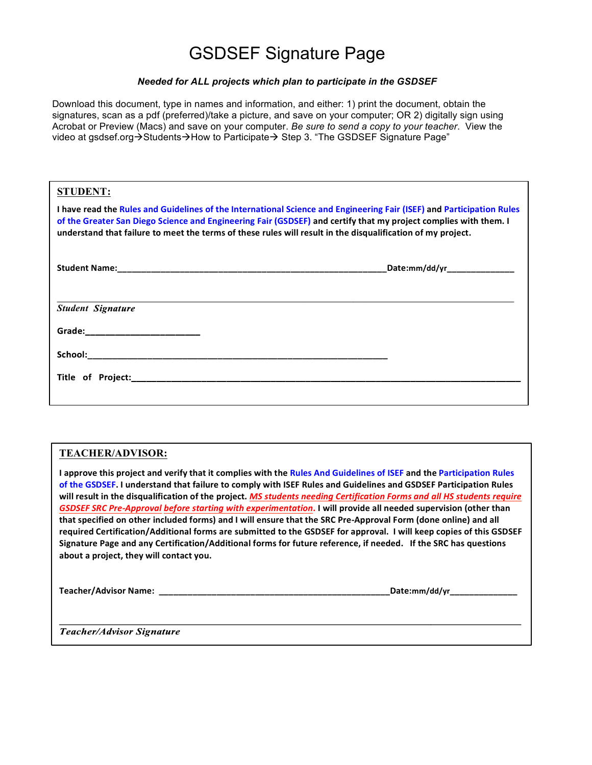## GSDSEF Signature Page

## *Needed for ALL projects which plan to participate in the GSDSEF*

Download this document, type in names and information, and either: 1) print the document, obtain the signatures, scan as a pdf (preferred)/take a picture, and save on your computer; OR 2) digitally sign using Acrobat or Preview (Macs) and save on your computer. *Be sure to send a copy to your teacher*. View the video at gsdsef.org $\rightarrow$ Students $\rightarrow$ How to Participate $\rightarrow$  Step 3. "The GSDSEF Signature Page"

| <b>STUDENT:</b>                                                                                                                                                                                                                                                                                                                                          |  |
|----------------------------------------------------------------------------------------------------------------------------------------------------------------------------------------------------------------------------------------------------------------------------------------------------------------------------------------------------------|--|
| I have read the Rules and Guidelines of the International Science and Engineering Fair (ISEF) and Participation Rules<br>of the Greater San Diego Science and Engineering Fair (GSDSEF) and certify that my project complies with them. I<br>understand that failure to meet the terms of these rules will result in the disqualification of my project. |  |
|                                                                                                                                                                                                                                                                                                                                                          |  |
| <b>Student Signature</b>                                                                                                                                                                                                                                                                                                                                 |  |
| Grade:____________________________                                                                                                                                                                                                                                                                                                                       |  |
|                                                                                                                                                                                                                                                                                                                                                          |  |
|                                                                                                                                                                                                                                                                                                                                                          |  |

## **TEACHER/ADVISOR:**

**I** approve this project and verify that it complies with the Rules And Guidelines of ISEF and the Participation Rules of the GSDSEF. I understand that failure to comply with ISEF Rules and Guidelines and GSDSEF Participation Rules will result in the disqualification of the project*. MS students needing Certification Forms and all HS students require GSDSEF SRC Pre-Approval before starting with experimentation*. I will provide all needed supervision (other than that specified on other included forms) and I will ensure that the SRC Pre-Approval Form (done online) and all required Certification/Additional forms are submitted to the GSDSEF for approval. I will keep copies of this GSDSEF Signature Page and any Certification/Additional forms for future reference, if needed. If the SRC has questions about a project, they will contact you.

**Teacher/Advisor Name: \_\_\_\_\_\_\_\_\_\_\_\_\_\_\_\_\_\_\_\_\_\_\_\_\_\_\_\_\_\_\_\_\_\_\_\_\_\_\_\_\_\_\_\_\_\_\_\_Date:mm/dd/yr\_\_\_\_\_\_\_\_\_\_\_\_\_\_**

**Teacher/Advisor Signature**